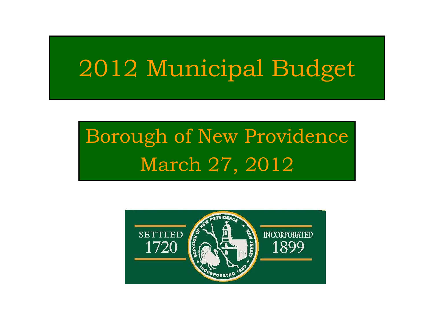## 2012 Municipal Budget

### Borough of New Providence March 27, 2012

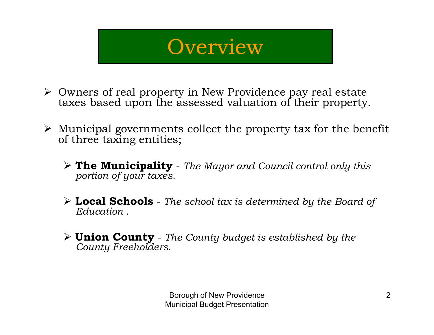#### **Overview**

- ¾ Owners of real property in New Providence pay real estate taxes based upon the assessed valuation of their property.
- $\triangleright$  Municipal governments collect the property tax for the benefit of three taxing entities;
	- ¾ **The Municipality** *The Mayor and Council control only this portion of your taxes.*
	- ¾ **Local Schools** *The school tax is determined by the Board of Education .*
	- ¾ **Union County** *The County budget is established by the County Freeholders.*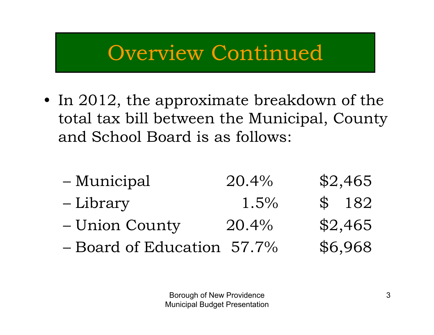#### Overview Continued

- In 2012, the approximate breakdown of the total tax bill between the Municipal, County and School Board is as follows:
	- Municipal 20.4% \$2,465 Library 1.5% \$ 182 Union County 20.4% \$2,465 Board of Education 57.7% \$6,968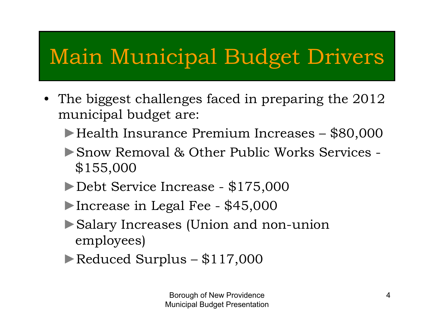### Main Municipal Budget Drivers

- The biggest challenges faced in preparing the 2012 municipal budget are:
	- ►Health Insurance Premium Increases \$80,000
	- ►Snow Removal & Other Public Works Services -\$155,000
	- ►Debt Service Increase \$175,000
	- ►Increase in Legal Fee \$45,000
	- ►Salary Increases (Union and non-union employees)
	- ►Reduced Surplus \$117,000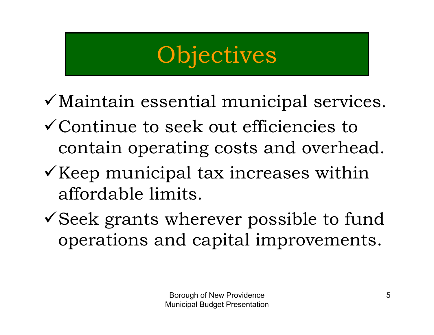## **Objectives**

- $\checkmark$  Maintain essential municipal services.
- $\checkmark$  Continue to seek out efficiencies to contain operating costs and overhead.
- $\checkmark$  Keep municipal tax increases within affordable limits.
- $\checkmark$  Seek grants wherever possible to fund operations and capital improvements.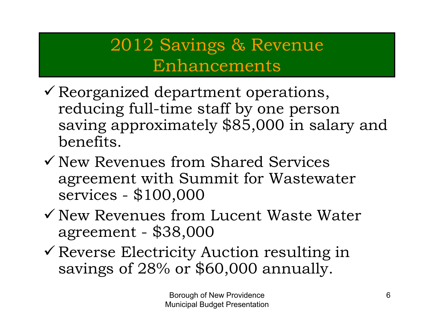#### 2012 Savings & Revenue Enhancements

- $\checkmark$  Reorganized department operations, reducing full-time staff by one person saving approximately \$85,000 in salary and benefits.
- $\checkmark$  New Revenues from Shared Services agreement with Summit for Wastewater services - \$100,000
- $\checkmark$  New Revenues from Lucent Waste Water agreement - \$38,000
- $\checkmark$  Reverse Electricity Auction resulting in savings of 28% or \$60,000 annually.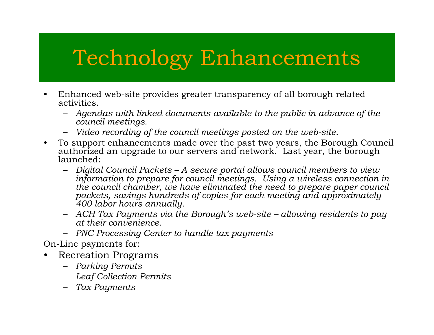#### Technology Enhancements

- • Enhanced web-site provides greater transparency of all borough related activities.
	- *Agendas with linked documents available to the public in advance of the council meetings.*
	- –*Video recording of the council meetings posted on the web-site.*
- • To support enhancements made over the past two years, the Borough Council authorized an upgrade to our servers and network. Last year, the borough launched:
	- *Digital Council Packets – A secure portal allows council members to view information to prepare for council meetings. Using a wireless connection in the council chamber, we have eliminated the need to prepare paper council packets, savings hundreds of copies for each meeting and approximately 400 labor hours annually.*
	- *ACH Tax Payments via the Borough's web-site – allowing residents to pay at their convenience.*
	- *PNC Processing Center to handle tax payments*

On-Line payments for:

- $\bullet$  Recreation Programs
	- *Parking Permits*
	- *Leaf Collection Permits*
	- *Tax Payments*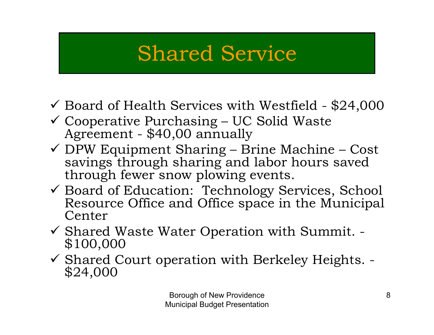#### Shared Service

- $\checkmark$  Board of Health Services with Westfield \$24,000
- 9 Cooperative Purchasing UC Solid Waste Agreement \$40,00 annually
- $\checkmark$  DPW Equipment Sharing Brine Machine Cost savings through sharing and labor hours saved through fewer snow plowing events.
- 9 Board of Education: Technology Services, School Resource Office and Office space in the Municipal Center
- 9 Shared Waste Water Operation with Summit. \$100,000
- 9 Shared Court operation with Berkeley Heights. \$24,000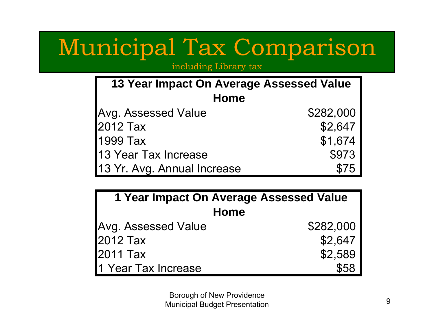## Municipal Tax Comparison

including Library tax

| 13 Year Impact On Average Assessed Value |           |  |
|------------------------------------------|-----------|--|
| Home                                     |           |  |
| Avg. Assessed Value                      | \$282,000 |  |
| 2012 Tax                                 | \$2,647   |  |
| 1999 Tax                                 | \$1,674   |  |
| 13 Year Tax Increase                     | \$973     |  |
| 13 Yr. Avg. Annual Increase              | \$75      |  |

| 1 Year Impact On Average Assessed Value |           |  |
|-----------------------------------------|-----------|--|
| Home                                    |           |  |
| Avg. Assessed Value                     | \$282,000 |  |
| 2012 Tax                                | \$2,647   |  |
| 2011 Tax                                | \$2,589   |  |
| 1 Year Tax Increase                     | \$58      |  |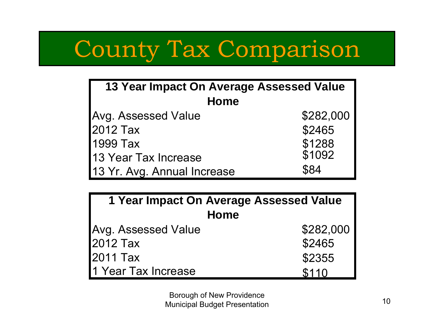## County Tax Comparison

| 13 Year Impact On Average Assessed Value |                  |  |
|------------------------------------------|------------------|--|
| <b>Home</b>                              |                  |  |
| Avg. Assessed Value                      | \$282,000        |  |
| 2012 Tax                                 | \$2465           |  |
| 1999 Tax                                 | \$1288<br>\$1092 |  |
| 13 Year Tax Increase                     |                  |  |
| 13 Yr. Avg. Annual Increase              | \$84             |  |

| 1 Year Impact On Average Assessed Value |           |  |
|-----------------------------------------|-----------|--|
| Home                                    |           |  |
| Avg. Assessed Value                     | \$282,000 |  |
| 2012 Tax                                | \$2465    |  |
| 2011 Tax                                | \$2355    |  |
| 1 Year Tax Increase                     | \$110     |  |

Borough of New Providence **Municipal Budget Presentation** 10<br>
Municipal Budget Presentation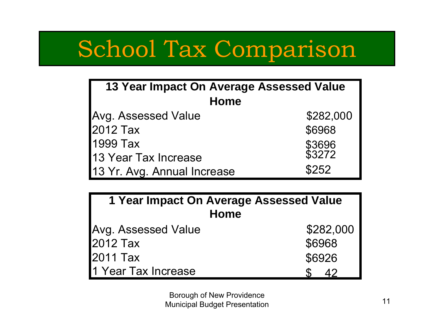## School Tax Comparison

| <b>13 Year Impact On Average Assessed Value</b> |                  |  |
|-------------------------------------------------|------------------|--|
| <b>Home</b>                                     |                  |  |
| Avg. Assessed Value                             | \$282,000        |  |
| 2012 Tax                                        | \$6968           |  |
| 1999 Tax                                        | \$3696<br>\$3272 |  |
| 13 Year Tax Increase                            |                  |  |
| 13 Yr. Avg. Annual Increase                     | \$252            |  |

| 1 Year Impact On Average Assessed Value |           |  |  |
|-----------------------------------------|-----------|--|--|
| Home                                    |           |  |  |
| <b>Avg. Assessed Value</b>              | \$282,000 |  |  |
| 2012 Tax                                | \$6968    |  |  |
| 2011 Tax                                | \$6926    |  |  |
| 1 Year Tax Increase                     | 42        |  |  |

Borough of New Providence **Municipal Budget Presentation** 11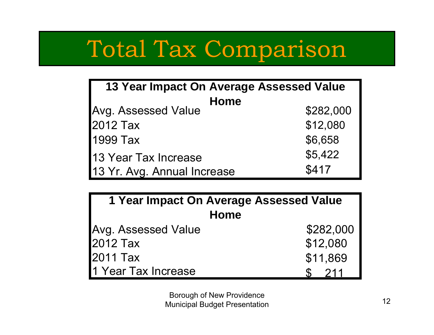# Total Tax Comparison

| 13 Year Impact On Average Assessed Value |           |  |  |
|------------------------------------------|-----------|--|--|
| <b>Home</b>                              |           |  |  |
| <b>Avg. Assessed Value</b>               | \$282,000 |  |  |
| 2012 Tax                                 | \$12,080  |  |  |
| 1999 Tax                                 | \$6,658   |  |  |
| 13 Year Tax Increase                     | \$5,422   |  |  |
| 13 Yr. Avg. Annual Increase              | \$417     |  |  |

| 1 Year Impact On Average Assessed Value |           |  |
|-----------------------------------------|-----------|--|
| <b>Home</b>                             |           |  |
| <b>Avg. Assessed Value</b>              | \$282,000 |  |
| 2012 Tax                                | \$12,080  |  |
| 2011 Tax                                | \$11,869  |  |
| 1 Year Tax Increase                     | 211       |  |

Borough of New Providence **Municipal Budget Presentation** 12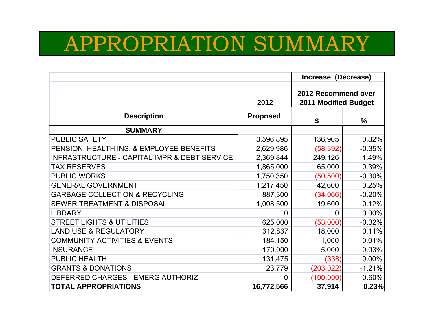#### APPROPRIATION SUMMARY

|                                                         |                 | Increase (Decrease)                         |          |
|---------------------------------------------------------|-----------------|---------------------------------------------|----------|
|                                                         | 2012            | 2012 Recommend over<br>2011 Modified Budget |          |
| <b>Description</b>                                      | <b>Proposed</b> | \$                                          | $\%$     |
| <b>SUMMARY</b>                                          |                 |                                             |          |
| <b>PUBLIC SAFETY</b>                                    | 3,596,895       | 136,905                                     | 0.82%    |
| PENSION, HEALTH INS. & EMPLOYEE BENEFITS                | 2,629,986       | (58, 392)                                   | $-0.35%$ |
| <b>INFRASTRUCTURE - CAPITAL IMPR &amp; DEBT SERVICE</b> | 2,369,844       | 249,126                                     | 1.49%    |
| <b>TAX RESERVES</b>                                     | 1,865,000       | 65,000                                      | 0.39%    |
| <b>PUBLIC WORKS</b>                                     | 1,750,350       | (50, 500)                                   | $-0.30%$ |
| <b>GENERAL GOVERNMENT</b>                               | 1,217,450       | 42,600                                      | 0.25%    |
| <b>GARBAGE COLLECTION &amp; RECYCLING</b>               | 887,300         | (34,066)                                    | $-0.20%$ |
| <b>SEWER TREATMENT &amp; DISPOSAL</b>                   | 1,008,500       | 19,600                                      | 0.12%    |
| <b>LIBRARY</b>                                          | 0               | 0                                           | 0.00%    |
| <b>STREET LIGHTS &amp; UTILITIES</b>                    | 625,000         | (53,000)                                    | $-0.32%$ |
| <b>LAND USE &amp; REGULATORY</b>                        | 312,837         | 18,000                                      | 0.11%    |
| <b>COMMUNITY ACTIVITIES &amp; EVENTS</b>                | 184,150         | 1,000                                       | 0.01%    |
| <b>INSURANCE</b>                                        | 170,000         | 5,000                                       | 0.03%    |
| <b>PUBLIC HEALTH</b>                                    | 131,475         | (338)                                       | 0.00%    |
| <b>GRANTS &amp; DONATIONS</b>                           | 23,779          | (203, 022)                                  | $-1.21%$ |
| DEFERRED CHARGES - EMERG AUTHORIZ                       | 0               | (100,000)                                   | $-0.60%$ |
| <b>TOTAL APPROPRIATIONS</b>                             | 16,772,566      | 37,914                                      | 0.23%    |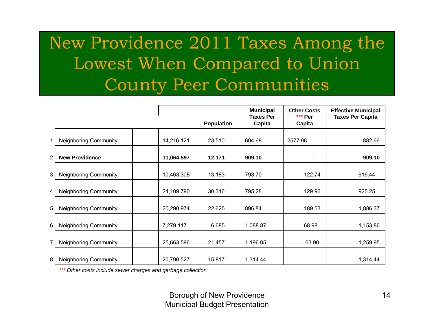#### New Providence 2011 Taxes Among the Lowest When Compared to Union County Peer Communities

|                |                              |            | <b>Population</b> | <b>Municipal</b><br><b>Taxes Per</b><br>Capita | <b>Other Costs</b><br>*** Per<br>Capita | <b>Effective Municipal</b><br><b>Taxes Per Capita</b> |
|----------------|------------------------------|------------|-------------------|------------------------------------------------|-----------------------------------------|-------------------------------------------------------|
|                |                              |            |                   |                                                |                                         |                                                       |
|                | <b>Neighboring Community</b> | 14,216,121 | 23,510            | 604.68                                         | 2577.98                                 | 882.66                                                |
| $\overline{2}$ | <b>New Providence</b>        | 11,064,597 | 12,171            | 909.10                                         |                                         | 909.10                                                |
| 3              | <b>Neighboring Community</b> | 10,463,308 | 13,183            | 793.70                                         | 122.74                                  | 916.44                                                |
| 4              | <b>Neighboring Community</b> | 24,109,790 | 30,316            | 795.28                                         | 129.96                                  | 925.25                                                |
| 5              | <b>Neighboring Community</b> | 20,290,974 | 22,625            | 896.84                                         | 189.53                                  | 1,886.37                                              |
| 6              | <b>Neighboring Community</b> | 7,279,117  | 6,685             | 1,088.87                                       | 68.98                                   | 1,153.86                                              |
| 7              | <b>Neighboring Community</b> | 25,663,596 | 21,457            | 1,196.05                                       | 63.90                                   | 1,259.95                                              |
| 8              | <b>Neighboring Community</b> | 20,790,527 | 15,817            | 1,314.44                                       |                                         | 1,314.44                                              |

*\*\*\* Other costs include sewer charges and garbage collection*

Borough of New Providence Municipal Budget Presentation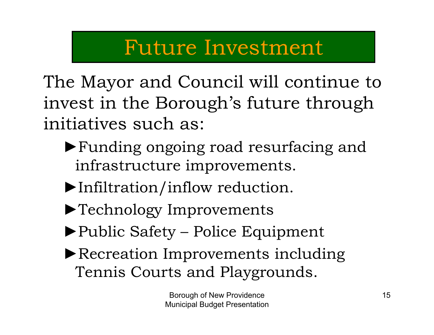#### Future Investment

The Mayor and Council will continue to invest in the Borough's future through initiatives such as:

- ►Funding ongoing road resurfacing and infrastructure improvements.
- ►Infiltration/inflow reduction.
- ►Technology Improvements
- ►Public Safety Police Equipment
- ►Recreation Improvements including Tennis Courts and Playgrounds.